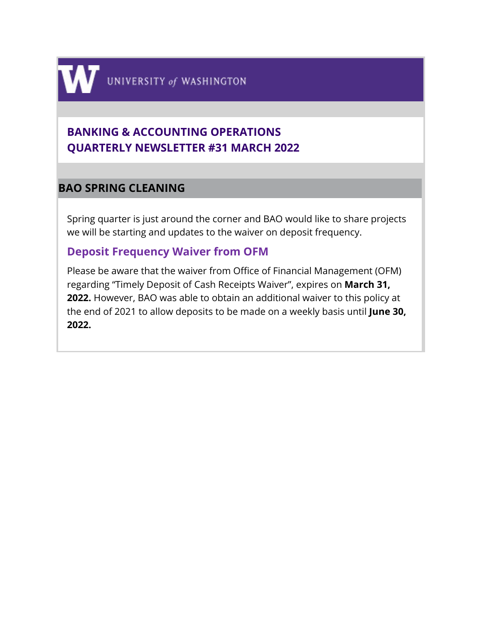

# **BANKING & ACCOUNTING OPERATIONS QUARTERLY NEWSLETTER #31 MARCH 2022**

# **BAO SPRING CLEANING**

Spring quarter is just around the corner and BAO would like to share projects we will be starting and updates to the waiver on deposit frequency.

# **Deposit Frequency Waiver from OFM**

Please be aware that the waiver from Office of Financial Management (OFM) regarding "Timely Deposit of Cash Receipts Waiver", expires on **March 31, 2022.** However, BAO was able to obtain an additional waiver to this policy at the end of 2021 to allow deposits to be made on a weekly basis until **June 30, 2022.**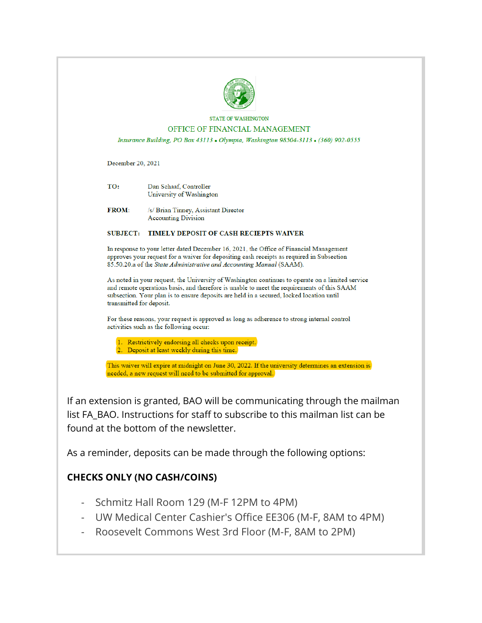

#### **STATE OF WASHINGTON** OFFICE OF FINANCIAL MANAGEMENT

Insurance Building, PO Box 43113 . Olympia, Washington 98504-3113 . (360) 902-0555

December 20, 2021

| TO: | Dan Schaaf, Controller   |
|-----|--------------------------|
|     | University of Washington |

**FROM:** /s/ Brian Tinney, Assistant Director **Accounting Division** 

#### SUBJECT: TIMELY DEPOSIT OF CASH RECIEPTS WAIVER

In response to your letter dated December 16, 2021, the Office of Financial Management approves your request for a waiver for depositing cash receipts as required in Subsection 85.50.20.a of the State Administrative and Accounting Manual (SAAM).

As noted in your request, the University of Washington continues to operate on a limited service and remote operations basis, and therefore is unable to meet the requirements of this SAAM subsection. Your plan is to ensure deposits are held in a secured, locked location until transmitted for deposit.

For these reasons, your request is approved as long as adherence to strong internal control activities such as the following occur:

1. Restrictively endorsing all checks upon receipt. 2. Deposit at least weekly during this time.

This waiver will expire at midnight on June 30, 2022. If the university determines an extension is needed, a new request will need to be submitted for approval.

If an extension is granted, BAO will be communicating through the mailman list FA\_BAO. Instructions for staff to subscribe to this mailman list can be found at the bottom of the newsletter.

As a reminder, deposits can be made through the following options:

# **CHECKS ONLY (NO CASH/COINS)**

- Schmitz Hall Room 129 (M-F 12PM to 4PM)
- UW Medical Center Cashier's Office EE306 (M-F, 8AM to 4PM)
- Roosevelt Commons West 3rd Floor (M-F, 8AM to 2PM)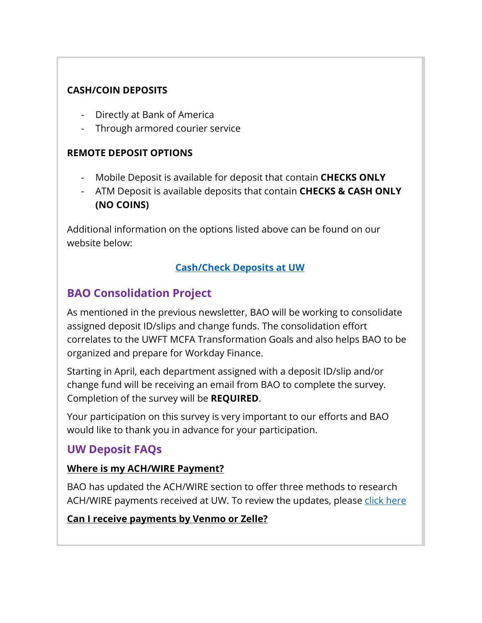## **CASH/COIN DEPOSITS**

- Directly at Bank of America
- Through armored courier service

## **REMOTE DEPOSIT OPTIONS**

- Mobile Deposit is available for deposit that contain **CHECKS ONLY**
- ATM Deposit is available deposits that contain **CHECKS & CASH ONLY (NO COINS)**

Additional information on the options listed above can be found on our website below:

# **[Cash/Check Deposits at UW](https://finance.uw.edu/bao/cash-receivables/checkcash-deposits)**

# **BAO Consolidation Project**

As mentioned in the previous newsletter, BAO will be working to consolidate assigned deposit ID/slips and change funds. The consolidation effort correlates to the UWFT MCFA Transformation Goals and also helps BAO to be organized and prepare for Workday Finance.

Starting in April, each department assigned with a deposit ID/slip and/or change fund will be receiving an email from BAO to complete the survey. Completion of the survey will be **REQUIRED**.

Your participation on this survey is very important to our efforts and BAO would like to thank you in advance for your participation.

# **UW Deposit FAQs**

## **Where is my ACH/WIRE Payment?**

BAO has updated the ACH/WIRE section to offer three methods to research ACH/WIRE payments received at UW. To review the updates, please [click here](https://finance.uw.edu/bao/wires)

## **Can I receive payments by Venmo or Zelle?**